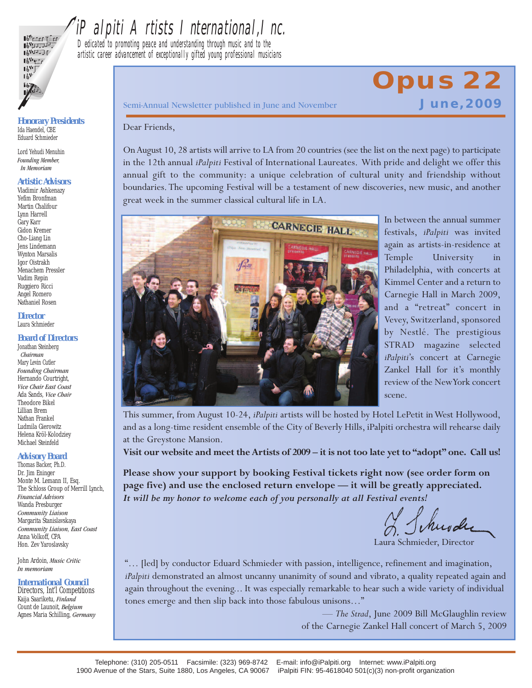

## iPalpiti Artists I nternational,Inc.

Dedicated to promoting peace and understanding through music and to the artistic career advancement of exceptionally gifted young professional musicians

*Honorary Presidents* Ida Haendel, CBE Eduard Schmieder

Lord Yehudi Menuhin *Founding Member, In Memoriam*

#### *Artistic Advisors*

Vladimir Ashkenazy Yefim Bronfman Martin Chalifour Lynn Harrell Gary Karr Gidon Kremer Cho-Liang Lin Jens Lindemann Wynton Marsalis Igor Oistrakh Menachem Pressler Vadim Repin Ruggiero Ricci Angel Romero Nathaniel Rosen

*Director* Laura Schmieder

#### *Board of Directors*

Jonathan Steinberg *Chairman* Mary Levin Cutler *Founding Chairman* Hernando Courtright, *Vice Chair East Coast* Ada Sands, *Vice Chair* Theodore Bikel Lillian Brem Nathan Frankel Ludmila Gierowitz Helena Kröl-Kolodziey Michael Steinfeld

#### *Advisory Board*

Thomas Backer, Ph.D. Dr. Jim Eninger Monte M. Lemann II, Esq. The Schloss Group of Merrill Lynch, *Financial Advisors* Wanda Presburger *Community Liaison* Margarita Stanislavskaya *Community Liaison, East Coast* Anna Volkoff, CPA Hon. Zev Yaroslavsky

John Ardoin, *Music Critic In memoriam*

#### *International Council*

Directors, Int'l Competitions Kaija Saariketu, *Finland* Count de Launoit, *Belgium* Agnes Maria Schilling, *Germany* Semi-Annual Newsletter published in June and November **June, 2009** 

# **Opus 22**

#### Dear Friends,

OnAugust 10, 28 artists will arrive to LA from 20 countries (see the list on the next page) to participate in the 12th annual *iPalpiti* Festival of International Laureates. With pride and delight we offer this annual gift to the community: a unique celebration of cultural unity and friendship without boundaries.The upcoming Festival will be a testament of new discoveries, new music, and another great week in the summer classical cultural life in LA.



In between the annual summer festivals, *iPalpiti* was invited again as artists-in-residence at Temple University in Philadelphia, with concerts at Kimmel Center and a return to Carnegie Hall in March 2009, and a "retreat" concert in Vevey, Switzerland, sponsored by Nestlé. The prestigious STRAD magazine selected *iPalpiti*'s concert at Carnegie Zankel Hall for it's monthly review of the NewYork concert scene.

This summer, from August 10-24, *iPalpiti* artists will be hosted by Hotel LePetit inWest Hollywood, and as a long-time resident ensemble of the City of Beverly Hills, iPalpiti orchestra will rehearse daily at the Greystone Mansion.

Visit our website and meet the Artists of 2009 – it is not too late yet to "adopt" one. Call us!

**Please show your support by booking Festival tickets right now (see order form on page five) and use the enclosed return envelope — it will be greatly appreciated.** *It will be my honor to welcome each of you personally at all Festival events!*

I Schwale

Laura Schmieder, Director

"… [led] by conductor Eduard Schmieder with passion, intelligence, refinement and imagination, *iPalpiti* demonstrated an almost uncanny unanimity of sound and vibrato, a quality repeated again and again throughout the evening... It was especially remarkable to hear such a wide variety of individual tones emerge and then slip back into those fabulous unisons…"

> — *The Strad*, June 2009 Bill McGlaughlin review of the Carnegie Zankel Hall concert of March 5, 2009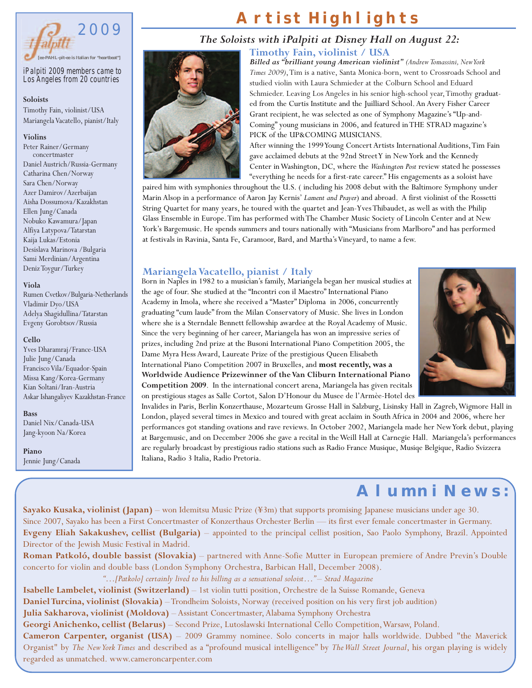

*iPalpiti 2009 members came to Los Angeles from 20 countries*

#### **Soloists**

Timothy Fain, violinist/USA Mariangela Vacatello, pianist/Italy

#### **Violins**

Peter Rainer/Germany concertmaster Daniel Austrich/Russia-Germany Catharina Chen/Norway Sara Chen/Norway Azer Damirov/Azerbaijan Aisha Dossumova/Kazakhstan Ellen Jung/Canada Nobuko Kawamura/Japan Alfiya Latypova/Tatarstan Kaija Lukas/Estonia Desislava Marinova /Bulgaria Sami Merdinian/Argentina Deniz Toygur/Turkey

#### **Viola**

Rumen Cvetkov/Bulgaria-Netherlands Vladimir Dyo/USA Adelya Shagidullina/Tatarstan Evgeny Gorobtsov/Russia

#### **Cello**

Yves Dharamraj/France-USA Julie Jung/Canada Francisco Vila/Equador-Spain Missa Kang/Korea-Germany Kian Soltani/Iran-Austria Askar Ishangaliyev Kazakhstan-France

**Bass** Daniel Nix/Canada-USA Jang-kyoon Na/Korea

**Piano** Jennie Jung/Canada

### **Artist Highlights**

#### *The Soloists with iPalpiti at Disney Hall on August 22:*

**Timothy Fain, violinist / USA**



*Billed as "brilliant young American violinist" (AndrewTomassini,NewYork Times 2009)*,Tim is a native, Santa Monica-born, went to Crossroads School and studied violin with Laura Schmieder at the Colburn School and Eduard Schmieder. Leaving Los Angeles in his senior high-school year, Timothy graduated from the Curtis Institute and the Juilliard School.An Avery Fisher Career Grant recipient, he was selected as one of Symphony Magazine's "Up-and-Coming" young musicians in 2006, and featured inTHE STRAD magazine's PICK of the UP&COMING MUSICIANS.

After winning the 1999Young Concert Artists International Auditions,Tim Fain gave acclaimed debuts at the 92nd StreetY in NewYork and the Kennedy Center inWashington, DC, where the *Washington Post* review stated he possesses "everything he needs for a first-rate career." His engagements as a soloist have

paired him with symphonies throughout the U.S. ( including his 2008 debut with the Baltimore Symphony under Marin Alsop in a performance of Aaron Jay Kernis' *Lament and Prayer*) and abroad. A first violinist of the Rossetti String Quartet for many years, he toured with the quartet and Jean-YvesThibaudet, as well as with the Philip Glass Ensemble in Europe.Tim has performed withThe Chamber Music Society of Lincoln Center and at New York's Bargemusic. He spends summers and tours nationally with "Musicians from Marlboro" and has performed at festivals in Ravinia, Santa Fe, Caramoor, Bard, and Martha'sVineyard, to name a few.

#### **MariangelaVacatello, pianist / Italy**



Born in Naples in 1982 to a musician's family, Mariangela began her musical studies at the age of four. She studied at the "Incontri con il Maestro" International Piano Academy in Imola, where she received a "Master" Diploma in 2006, concurrently graduating "cum laude" from the Milan Conservatory of Music. She lives in London where she is a Sterndale Bennett fellowship awardee at the Royal Academy of Music. Since the very beginning of her career, Mariangela has won an impressive series of prizes, including 2nd prize at the Busoni International Piano Competition 2005, the Dame Myra Hess Award, Laureate Prize of the prestigious Queen Elisabeth International Piano Competition 2007 in Bruxelles, and **most recently, was a Worldwide Audience Prizewinner of theVan Cliburn International Piano Competition 2009**. In the international concert arena, Mariangela has given recitals on prestigious stages as Salle Cortot, Salon D'Honour du Musee de l'Armèe-Hotel des

Invalides in Paris, Berlin Konzerthause, Mozarteum Grosse Hall in Salzburg, Lisinsky Hall in Zagreb,Wigmore Hall in London, played several times in Mexico and toured with great acclaim in South Africa in 2004 and 2006, where her performances got standing ovations and rave reviews. In October 2002, Mariangela made her NewYork debut, playing at Bargemusic, and on December 2006 she gave a recital in theWeill Hall at Carnegie Hall. Mariangela's performances are regularly broadcast by prestigious radio stations such as Radio France Musique, Musiqe Belgique, Radio Svizzera Italiana, Radio 3 Italia, Radio Pretoria.

### **Alumni News:**

**Sayako Kusaka, violinist (Japan)** – won Idemitsu Music Prize (¥3m) that supports promising Japanese musicians under age 30. Since 2007, Sayako has been a First Concertmaster of Konzerthaus Orchester Berlin — its first ever female concertmaster in Germany. **Evgeny Eliah Sakakushev, cellist (Bulgaria)** – appointed to the principal cellist position, Sao Paolo Symphony, Brazil. Appointed Director of the Jewish Music Festival in Madrid.

**Roman Patkoló, double bassist (Slovakia)** – partnered with Anne-Sofie Mutter in European premiere of Andre Previn's Double concerto for violin and double bass (London Symphony Orchestra, Barbican Hall, December 2008).

*"…[Patkolo] certainly lived to his billing as a sensational soloist…" – Strad Magazine*

**Isabelle Lambelet, violinist (Switzerland)** – 1st violin tutti position, Orchestre de la Suisse Romande, Geneva

**Daniel Turcina, violinist (Slovakia)** – Trondheim Soloists, Norway (received position on his very first job audition)

**Julia Sakharova, violinist (Moldova)** – Assistant Concertmaster,Alabama Symphony Orchestra

**Georgi Anichenko, cellist (Belarus)** – Second Prize, Lutoslawski International Cello Competition,Warsaw, Poland.

**Cameron Carpenter, organist (USA)** – 2009 Grammy nominee. Solo concerts in major halls worldwide. Dubbed "the Maverick Organist" by *The NewYork Times* and described as a "profound musical intelligence" by *TheWall Street Journal*, his organ playing is widely regarded as unmatched. www.cameroncarpenter.com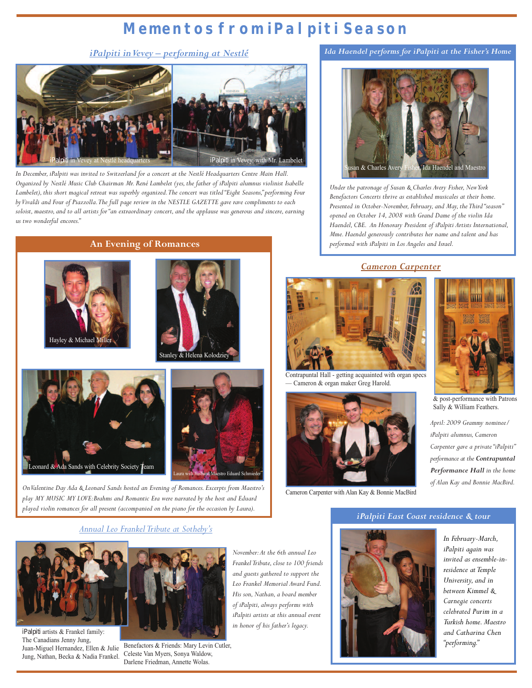### **Mementos from iPalpiti Season**

*iPalpiti inVevey – performing at Nestlé*



In December, iPalpiti was invited to Switzerland for a concert at the Nestlé Headquarters Centre Main Hall. Organized by Nestlé Music Club Chairman Mr. René Lambelet (yes, the father of iPalpiti alumnus violinist Isabelle *Lambelet), this short magical retreat was superbly organized.The concert was titled"Eight Seasons,"performing Four byVivaldi and Four of Piazzolla.The full page review in the NESTLE GAZETTE gave rave compliments to each soloist, maestro,and to all artists for "an extraordinary concert,and the applause was generous and sincere,earning us two wonderful encores."*

**An Evening of Romances**







*OnValentine Day Ada & Leonard Sands hosted an Evening of Romances. Excerpts from Maestro's play MY MUSIC MY LOVE:Brahms and Romantic Era were narrated by the host and Eduard played violin romances for all present (accompanied on the piano for the occasion by Laura).*

*Annual Leo Frankel Tribute at Sotheby's*



*iPalpiti* artists & Frankel family: The Canadians Jenny Jung, Juan-Miguel Hernandez, Ellen & Julie Jung, Nathan, Becka & Nadia Frankel.



Benefactors & Friends: Mary Levin Cutler, Celeste Van Myers, Sonya Waldow, Darlene Friedman, Annette Wolas.

*November:At the 6th annual Leo Frankel Tribute,close to 100 friends and guests gathered to support the Leo Frankel Memorial Award Fund. His son,Nathan,a board member*  $of$  *iPalpiti, always performs with iPalpiti artists at this annual event in honor of his father's legacy.*

*Ida Haendel performs for iPalpiti at the Fisher's Home*



*Under the patronage of Susan & Charles Avery Fisher, New York Benefactors Concerts thrive as established musicales at their home. Presented in October-November, February,and May, the Third"season" opened on October 14, 2008 with Grand Dame of the violin Ida Haendel, CBE. An Honorary President of iPalpiti Artists International, Mme.Haendel generously contributes her name and talent and has performed with iPalpiti in Los Angeles and Israel.*

#### *Cameron Carpenter*



Contrapuntal Hall - getting acquainted with organ specs — Cameron & organ maker Greg Harold.



Cameron Carpenter with Alan Kay & Bonnie MacBird



& post-performance with Patrons Sally & William Feathers.

*April: 2009 Grammy nominee/ iPalpiti alumnus, Cameron Carpenter gave a private"iPalpiti" performance at the Contrapuntal Performance Hall in the home of Alan Kay and Bonnie MacBird.*

#### *iPalpiti East Coast residence & tour*



*In February-March, iPalpiti again was invited as ensemble-inresidence at Temple University,and in between Kimmel & Carnegie concerts celebrated Purim in a Turkish home.Maestro and Catharina Chen "performing."*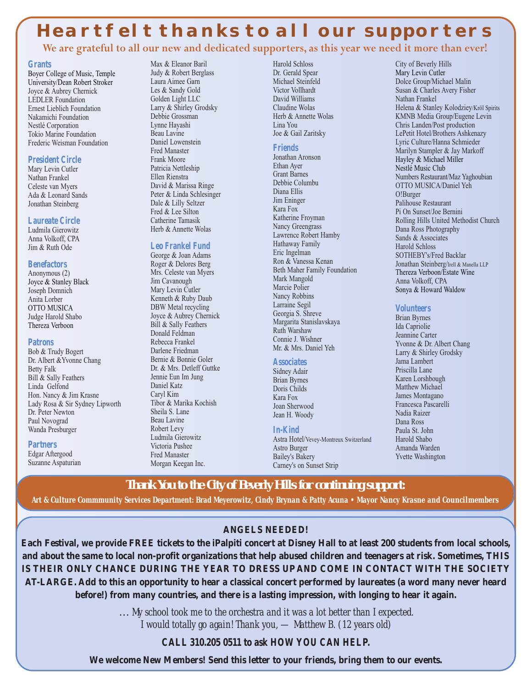### **Heartfelt thanks to all our supporters**

We are grateful to all our new and dedicated supporters, as this year we need it more than ever!

#### **Grants**

Boyer College of Music, Temple University/Dean Robert Stroker Joyce & Aubrey Chernick LEDLER Foundation Ernest Lieblich Foundation Nakamichi Foundation Nestlé Corporation Tokio Marine Foundation Frederic Weisman Foundation

#### **President Circle**

Mary Levin Cutler Nathan Frankel Celeste van Myers Ada & Leonard Sands Jonathan Steinberg

#### **Laureate Circle**

Ludmila Gierowitz Anna Volkoff, CPA Jim & Ruth Ode

#### **Benefactors**

Anonymous (2) Joyce & Stanley Black Joseph Domnich Anita Lorber OTTO MUSICA Judge Harold Shabo Thereza Verboon

#### **Patrons**

Bob & Trudy Bogert Dr. Albert &Yvonne Chang Betty Falk Bill & Sally Feathers Linda Gelfond Hon. Nancy & Jim Krasne Lady Rosa & Sir Sydney Lipworth Dr. Peter Newton Paul Novograd Wanda Presburger

**Partners**

Edgar Aftergood Suzanne Aspaturian Max & Eleanor Baril Judy & Robert Berglass Laura Aimee Garn Les & Sandy Gold Golden Light LLC Larry & Shirley Grodsky Debbie Grossman Lynne Hayashi Beau Lavine Daniel Lowenstein Fred Manaster Frank Moore Patricia Nettleship Ellen Rienstra David & Marissa Ringe Peter & Linda Schlesinger Dale & Lilly Seltzer Fred & Lee Silton Catherine Tamasik Herb & Annette Wolas

#### **Leo Frankel Fund**

George & Joan Adams Roger & Delores Berg Mrs. Celeste van Myers Jim Cavanough Mary Levin Cutler Kenneth & Ruby Daub DBW Metal recycling Joyce & Aubrey Chernick Bill & Sally Feathers Donald Feldman Rebecca Frankel Darlene Friedman Bernie & Bonnie Goler Dr. & Mrs. Detleff Guttke Jennie Eun Im Jung Daniel Katz Caryl Kim Tibor & Marika Kochish Sheila S. Lane Beau Lavine Robert Levy Ludmila Gierowitz Victoria Pushee Fred Manaster Morgan Keegan Inc.

Harold Schloss Dr. Gerald Spear Michael Steinfeld Victor Vollhardt David Williams Claudine Wolas Herb & Annette Wolas Lina You Joe & Gail Zaritsky

#### **Friends**

Jonathan Aronson Ethan Ayer Grant Barnes Debbie Columbu Diana Ellis Jim Eninger Kara Fox Katherine Froyman Nancy Greengrass Lawrence Robert Hamby Hathaway Family Eric Ingelman Ron & Vanessa Kenan Beth Maher Family Foundation Mark Mangold Marcie Polier Nancy Robbins Larraine Segil Georgia S. Shreve Margarita Stanislavskaya Ruth Warshaw Connie J. Wishner

#### **Associates**

Sidney Adair Brian Byrnes Doris Childs Kara Fox Joan Sherwood Jean H. Woody

Mr. & Mrs. Daniel Yeh

#### **In-Kind**

Astra Hotel/Vevey-Montreux Switzerland Astro Burger Bailey's Bakery Carney's on Sunset Strip

City of Beverly Hills Mary Levin Cutler Dolce Group/Michael Malin Susan & Charles Avery Fisher Nathan Frankel Helena & Stanley Kolodziey/Kröl Spirits KMNB Media Group/Eugene Levin Chris Landen/Post production LePetit Hotel/Brothers Ashkenazy Lyric Culture/Hanna Schmieder Marilyn Stampler & Jay Markoff Hayley & Michael Miller Nestlé Music Club Numbers Restaurant/Maz Yaghoubian OTTO MUSICA/Daniel Yeh O!Burger Palihouse Restaurant Pi On Sunset/Joe Bernini Rolling Hills United Methodist Church Dana Ross Photography Sands & Associates Harold Schloss SOTHEBY's/Fred Backlar Jonathan Steinberg/Irell & Manella LLP Thereza Verboon/Estate Wine Anna Volkoff, CPA Sonya & Howard Waldow

#### **Volunteers**

Brian Byrnes Ida Capriolie Jeannine Carter Yvonne & Dr. Albert Chang Larry & Shirley Grodsky Jama Lambert Priscilla Lane Karen Lorshbough Matthew Michael James Montagano Francesca Pascarelli Nadia Raizer Dana Ross Paula St. John Harold Shabo Amanda Warden Yvette Washington

**Thank You to the City of Beverly Hills for continuing support:**

Art & Culture Commnunity Services Department: Brad Meyerowitz, Cindy Brynan & Patty Acuna • Mayor Nancy Krasne and Councilmembers

#### **ANGELS NEEDED!**

Each Festival, we provide FREE tickets to the iPalpiti concert at Disney Hall to at least 200 students from local schools, and about the same to local non-profit organizations that help abused children and teenagers at risk. Sometimes, THIS **IS THEIR ONLY CHANCE DURING THE YEAR TO DRESS UP AND COME IN CONTACT WITH THE SOCIETY** AT-LARGE. Add to this an opportunity to hear a classical concert performed by laureates (a word many never heard **before!) from many countries, and there is a lasting impression, with longing to hear it again.**

> … *My school took me to the orchestra and it was a lot better than I expected. I would totally go again! Thank you, — Matthew B. (12 years old)*

#### **CALL 310.205 0511 to ask HOW YOU CAN HELP.**

**We welcome New Members! Send this letter to your friends, bring them to our events.**